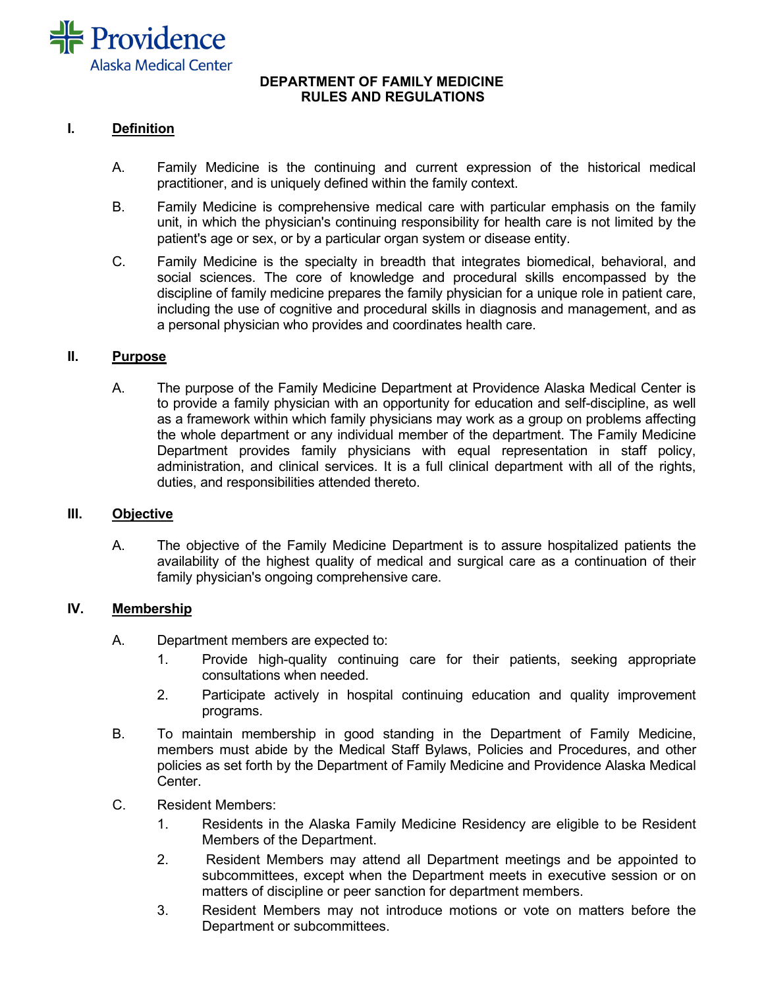

### **DEPARTMENT OF FAMILY MEDICINE RULES AND REGULATIONS**

## **I. Definition**

- A. Family Medicine is the continuing and current expression of the historical medical practitioner, and is uniquely defined within the family context.
- B. Family Medicine is comprehensive medical care with particular emphasis on the family unit, in which the physician's continuing responsibility for health care is not limited by the patient's age or sex, or by a particular organ system or disease entity.
- C. Family Medicine is the specialty in breadth that integrates biomedical, behavioral, and social sciences. The core of knowledge and procedural skills encompassed by the discipline of family medicine prepares the family physician for a unique role in patient care, including the use of cognitive and procedural skills in diagnosis and management, and as a personal physician who provides and coordinates health care.

### **II. Purpose**

A. The purpose of the Family Medicine Department at Providence Alaska Medical Center is to provide a family physician with an opportunity for education and self-discipline, as well as a framework within which family physicians may work as a group on problems affecting the whole department or any individual member of the department. The Family Medicine Department provides family physicians with equal representation in staff policy, administration, and clinical services. It is a full clinical department with all of the rights, duties, and responsibilities attended thereto.

### **III. Objective**

A. The objective of the Family Medicine Department is to assure hospitalized patients the availability of the highest quality of medical and surgical care as a continuation of their family physician's ongoing comprehensive care.

### **IV. Membership**

- A. Department members are expected to:
	- 1. Provide high-quality continuing care for their patients, seeking appropriate consultations when needed.
	- 2. Participate actively in hospital continuing education and quality improvement programs.
- B. To maintain membership in good standing in the Department of Family Medicine, members must abide by the Medical Staff Bylaws, Policies and Procedures, and other policies as set forth by the Department of Family Medicine and Providence Alaska Medical Center.
- C. Resident Members:
	- 1. Residents in the Alaska Family Medicine Residency are eligible to be Resident Members of the Department.
	- 2. Resident Members may attend all Department meetings and be appointed to subcommittees, except when the Department meets in executive session or on matters of discipline or peer sanction for department members.
	- 3. Resident Members may not introduce motions or vote on matters before the Department or subcommittees.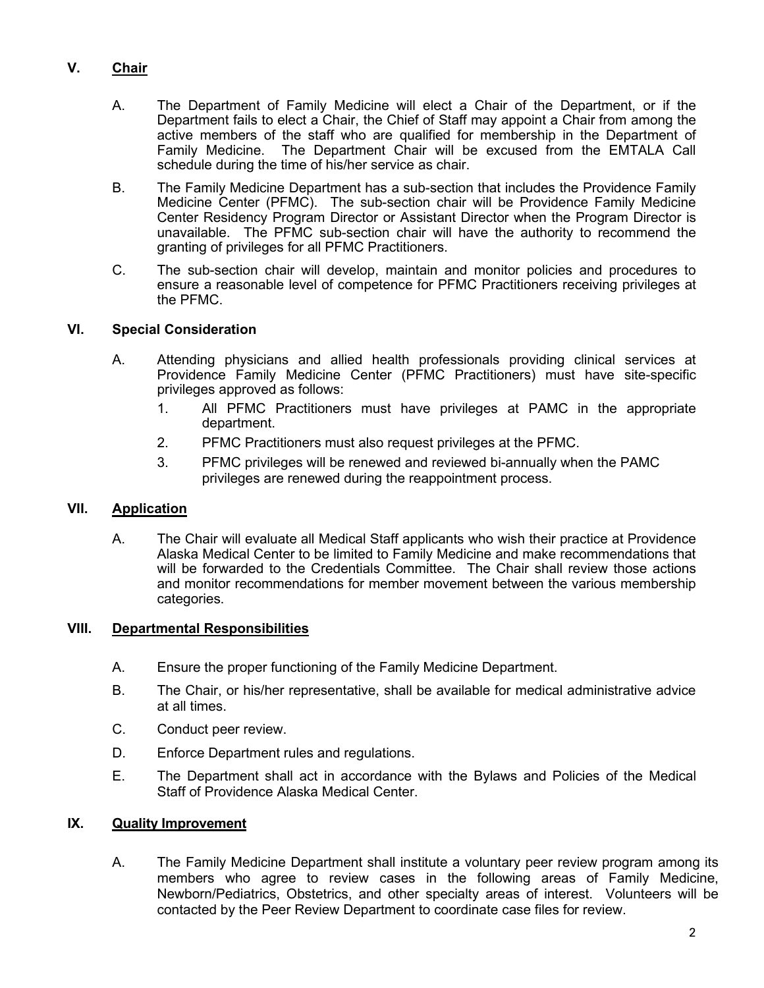# **V. Chair**

- A. The Department of Family Medicine will elect a Chair of the Department, or if the Department fails to elect a Chair, the Chief of Staff may appoint a Chair from among the active members of the staff who are qualified for membership in the Department of Family Medicine. The Department Chair will be excused from the EMTALA Call schedule during the time of his/her service as chair.
- B. The Family Medicine Department has a sub-section that includes the Providence Family Medicine Center (PFMC). The sub-section chair will be Providence Family Medicine Center Residency Program Director or Assistant Director when the Program Director is unavailable. The PFMC sub-section chair will have the authority to recommend the granting of privileges for all PFMC Practitioners.
- C. The sub-section chair will develop, maintain and monitor policies and procedures to ensure a reasonable level of competence for PFMC Practitioners receiving privileges at the PFMC.

## **VI. Special Consideration**

- A. Attending physicians and allied health professionals providing clinical services at Providence Family Medicine Center (PFMC Practitioners) must have site-specific privileges approved as follows:
	- 1. All PFMC Practitioners must have privileges at PAMC in the appropriate department.
	- 2. PFMC Practitioners must also request privileges at the PFMC.
	- 3. PFMC privileges will be renewed and reviewed bi-annually when the PAMC privileges are renewed during the reappointment process.

## **VII. Application**

A. The Chair will evaluate all Medical Staff applicants who wish their practice at Providence Alaska Medical Center to be limited to Family Medicine and make recommendations that will be forwarded to the Credentials Committee. The Chair shall review those actions and monitor recommendations for member movement between the various membership categories.

## **VIII. Departmental Responsibilities**

- A. Ensure the proper functioning of the Family Medicine Department.
- B. The Chair, or his/her representative, shall be available for medical administrative advice at all times.
- C. Conduct peer review.
- D. Enforce Department rules and regulations.
- E. The Department shall act in accordance with the Bylaws and Policies of the Medical Staff of Providence Alaska Medical Center.

## **IX. Quality Improvement**

A. The Family Medicine Department shall institute a voluntary peer review program among its members who agree to review cases in the following areas of Family Medicine, Newborn/Pediatrics, Obstetrics, and other specialty areas of interest. Volunteers will be contacted by the Peer Review Department to coordinate case files for review.